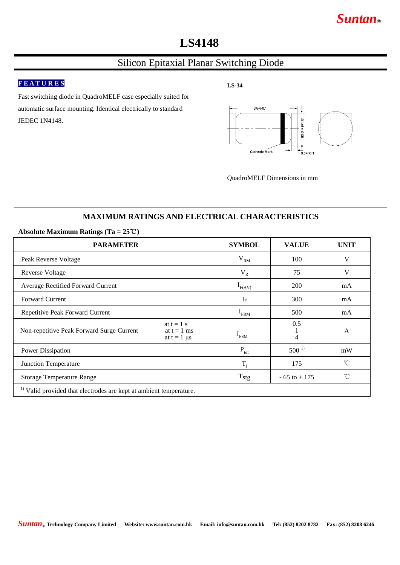# *Suntan***®**

# **LS4148**

### Silicon Epitaxial Planar Switching Diode

### **F E A T U R E S**

**LS-34**

Fast switching diode in QuadroMELF case especially suited for automatic surface mounting. Identical electrically to standard JEDEC 1N4148.



QuadroMELF Dimensions in mm

### **MAXIMUM RATINGS AND ELECTRICAL CHARACTERISTICS**

| Absolute Maximum Ratings (Ta = $25^{\circ}$ C)                                |                                                     |                  |                 |              |  |  |  |  |
|-------------------------------------------------------------------------------|-----------------------------------------------------|------------------|-----------------|--------------|--|--|--|--|
| <b>PARAMETER</b>                                                              |                                                     | <b>SYMBOL</b>    | <b>VALUE</b>    | <b>UNIT</b>  |  |  |  |  |
| Peak Reverse Voltage                                                          |                                                     | V <sub>RM</sub>  | 100             | V            |  |  |  |  |
| Reverse Voltage                                                               |                                                     | $V_R$            | 75              | V            |  |  |  |  |
| Average Rectified Forward Current                                             |                                                     | $I_{F(AV)}$      | 200             | mA           |  |  |  |  |
| <b>Forward Current</b>                                                        |                                                     | $I_F$            | 300             | mA           |  |  |  |  |
| Repetitive Peak Forward Current                                               |                                                     | $I_{FRM}$        | 500             | mA           |  |  |  |  |
| Non-repetitive Peak Forward Surge Current                                     | at $t = 1$ s<br>at $t = 1$ ms<br>at $t = 1$ $\mu s$ | $I_{FSM}$        | 0.5<br>4        | $\mathsf{A}$ |  |  |  |  |
| Power Dissipation                                                             |                                                     | $P_{\text{tot}}$ | $500^{1}$       | mW           |  |  |  |  |
| <b>Junction Temperature</b>                                                   |                                                     | $T_i$            | 175             | $^{\circ}$ C |  |  |  |  |
| <b>Storage Temperature Range</b>                                              |                                                     | $T_{\rm{stg}}$   | $-65$ to $+175$ | $^{\circ}$ C |  |  |  |  |
| <sup>1)</sup> Valid provided that electrodes are kept at ambient temperature. |                                                     |                  |                 |              |  |  |  |  |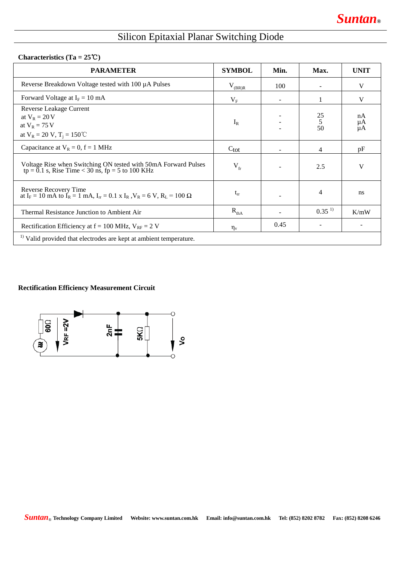# Silicon Epitaxial Planar Switching Diode

#### **Characteristics (Ta = 25**℃**)**

| <b>PARAMETER</b>                                                                                                                                                          | <b>SYMBOL</b>    | Min. | Max.                                         | <b>UNIT</b>    |  |  |
|---------------------------------------------------------------------------------------------------------------------------------------------------------------------------|------------------|------|----------------------------------------------|----------------|--|--|
| Reverse Breakdown Voltage tested with 100 µA Pulses                                                                                                                       | $V_{(BR)R}$      | 100  |                                              | V              |  |  |
| Forward Voltage at $I_F = 10$ mA                                                                                                                                          | $V_{\rm F}$      |      |                                              | V              |  |  |
| Reverse Leakage Current<br>at $V_R = 20 V$<br>at $V_R = 75 V$<br>at $V_R = 20 V$ , $T_i = 150 °C$                                                                         | $I_R$            |      | $\begin{array}{c} 25 \\ 5 \\ 50 \end{array}$ | nA<br>μĄ<br>μA |  |  |
| Capacitance at $V_R = 0$ , $f = 1$ MHz                                                                                                                                    | $C_{\text{tot}}$ |      | 4                                            | pF             |  |  |
| Voltage Rise when Switching ON tested with 50mA Forward Pulses tp = $0.1$ s, Rise Time < $30$ ns, fp = $5$ to 100 KHz                                                     | $V_{fr}$         |      | 2.5                                          | V              |  |  |
| Reverse Recovery Time<br>at I <sub>F</sub> = 10 mA to I <sub>R</sub> = 1 mA, I <sub>rr</sub> = 0.1 x I <sub>R</sub> , V <sub>R</sub> = 6 V, R <sub>L</sub> = 100 $\Omega$ | $t_{rr}$         |      | 4                                            | ns             |  |  |
| Thermal Resistance Junction to Ambient Air                                                                                                                                | $R_{thA}$        |      | $0.35^{1}$                                   | K/mW           |  |  |
| Rectification Efficiency at $f = 100$ MHz, $V_{RF} = 2$ V                                                                                                                 | $\eta_{\rm v}$   | 0.45 |                                              |                |  |  |
| <sup>1)</sup> Valid provided that electrodes are kept at ambient temperature.                                                                                             |                  |      |                                              |                |  |  |

#### **Rectification Efficiency Measurement Circuit**